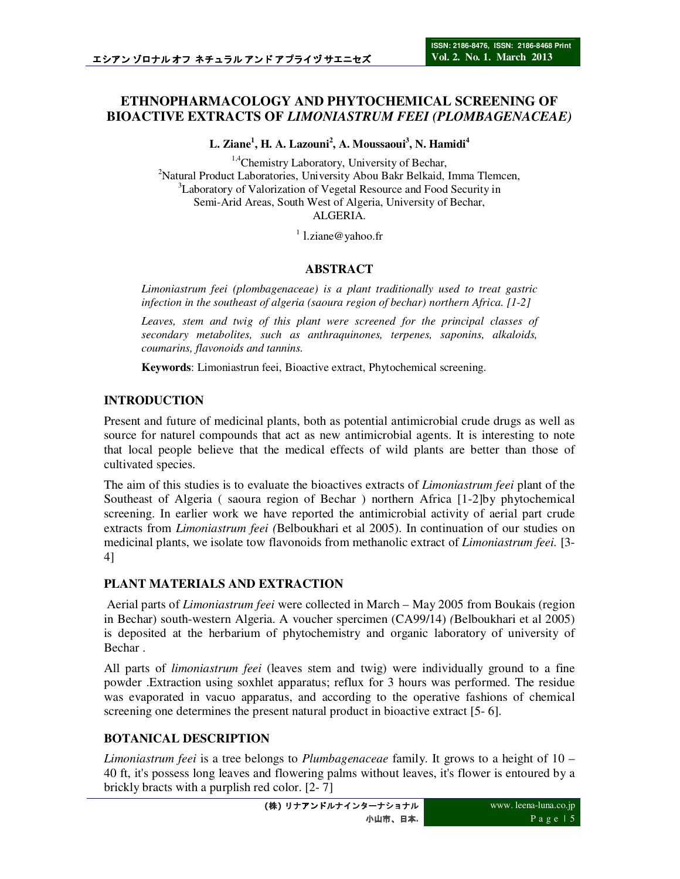# **ETHNOPHARMACOLOGY AND PHYTOCHEMICAL SCREENING OF BIOACTIVE EXTRACTS OF** *LIMONIASTRUM FEEI (PLOMBAGENACEAE)*

**L. Ziane<sup>1</sup> , H. A. Lazouni<sup>2</sup> , A. Moussaoui<sup>3</sup> , N. Hamidi<sup>4</sup>**

<sup>1,4</sup>Chemistry Laboratory, University of Bechar, <sup>2</sup>Natural Product Laboratories, University Abou Bakr Belkaid, Imma Tlemcen, <sup>3</sup>Laboratory of Valorization of Vegetal Resource and Food Security in Semi-Arid Areas, South West of Algeria, University of Bechar, ALGERIA.

<sup>1</sup> l.ziane@yahoo.fr

### **ABSTRACT**

*Limoniastrum feei (plombagenaceae) is a plant traditionally used to treat gastric infection in the southeast of algeria (saoura region of bechar) northern Africa. [1-2]* 

*Leaves, stem and twig of this plant were screened for the principal classes of secondary metabolites, such as anthraquinones, terpenes, saponins, alkaloids, coumarins, flavonoids and tannins.* 

**Keywords**: Limoniastrun feei, Bioactive extract, Phytochemical screening.

### **INTRODUCTION**

Present and future of medicinal plants, both as potential antimicrobial crude drugs as well as source for naturel compounds that act as new antimicrobial agents. It is interesting to note that local people believe that the medical effects of wild plants are better than those of cultivated species.

The aim of this studies is to evaluate the bioactives extracts of *Limoniastrum feei* plant of the Southeast of Algeria ( saoura region of Bechar ) northern Africa [1-2]by phytochemical screening. In earlier work we have reported the antimicrobial activity of aerial part crude extracts from *Limoniastrum feei (*Belboukhari et al 2005). In continuation of our studies on medicinal plants, we isolate tow flavonoids from methanolic extract of *Limoniastrum feei.* [3- 4]

### **PLANT MATERIALS AND EXTRACTION**

 Aerial parts of *Limoniastrum feei* were collected in March – May 2005 from Boukais (region in Bechar) south-western Algeria. A voucher spercimen (CA99/14) *(*Belboukhari et al 2005) is deposited at the herbarium of phytochemistry and organic laboratory of university of Bechar .

All parts of *limoniastrum feei* (leaves stem and twig) were individually ground to a fine powder .Extraction using soxhlet apparatus; reflux for 3 hours was performed. The residue was evaporated in vacuo apparatus, and according to the operative fashions of chemical screening one determines the present natural product in bioactive extract [5- 6].

# **BOTANICAL DESCRIPTION**

*Limoniastrum feei* is a tree belongs to *Plumbagenaceae* family. It grows to a height of 10 – 40 ft, it's possess long leaves and flowering palms without leaves, it's flower is entoured by a brickly bracts with a purplish red color. [2- 7]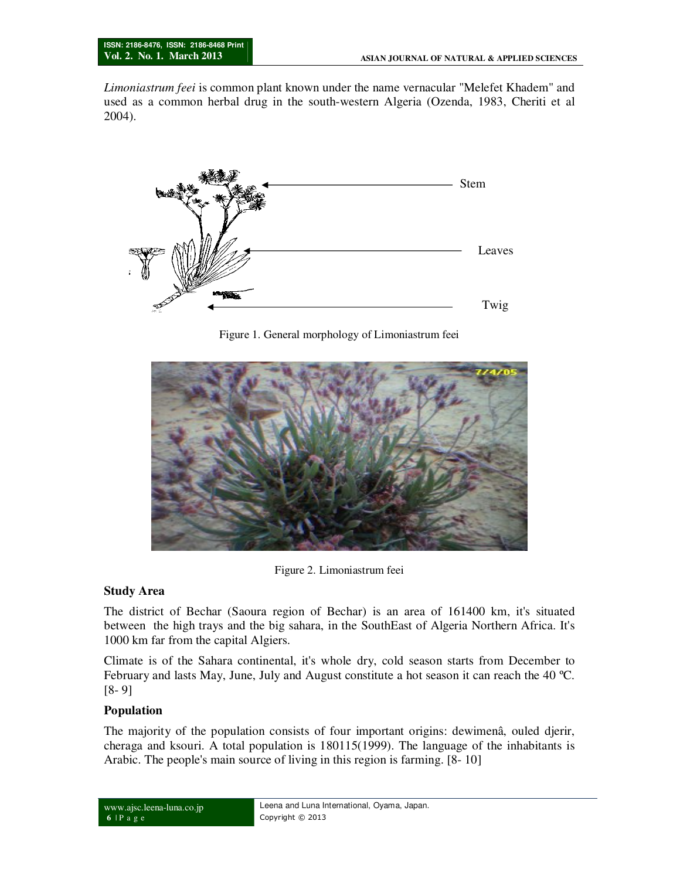*Limoniastrum feei* is common plant known under the name vernacular "Melefet Khadem" and used as a common herbal drug in the south-western Algeria (Ozenda, 1983, Cheriti et al 2004).



Figure 1. General morphology of Limoniastrum feei



Figure 2. Limoniastrum feei

### **Study Area**

The district of Bechar (Saoura region of Bechar) is an area of 161400 km, it's situated between the high trays and the big sahara, in the SouthEast of Algeria Northern Africa. It's 1000 km far from the capital Algiers.

Climate is of the Sahara continental, it's whole dry, cold season starts from December to February and lasts May, June, July and August constitute a hot season it can reach the 40 ºC. [8- 9]

### **Population**

The majority of the population consists of four important origins: dewimenâ, ouled djerir, cheraga and ksouri. A total population is 180115(1999). The language of the inhabitants is Arabic. The people's main source of living in this region is farming. [8- 10]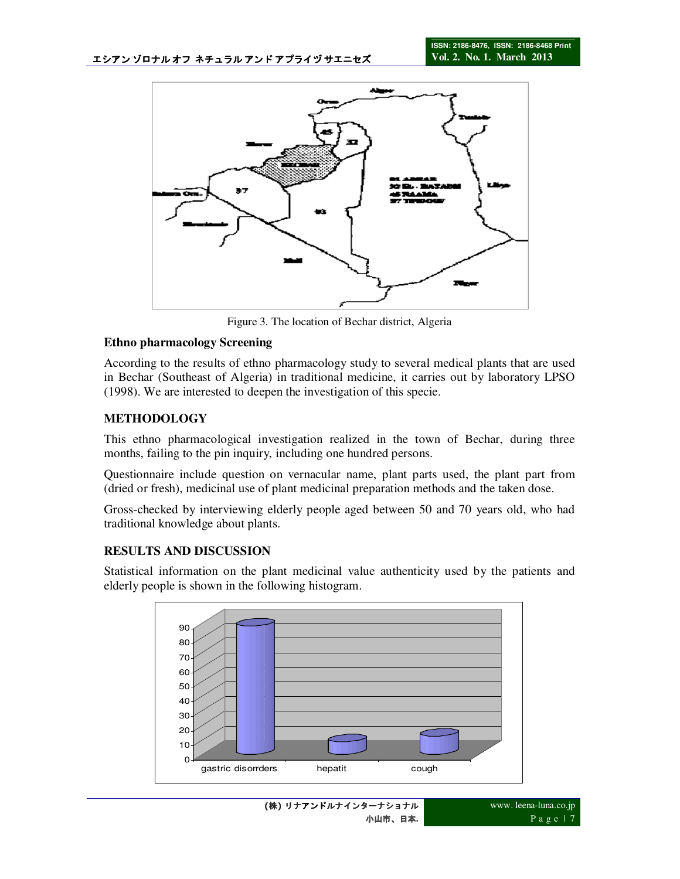

Figure 3. The location of Bechar district, Algeria

### **Ethno pharmacology Screening**

According to the results of ethno pharmacology study to several medical plants that are used in Bechar (Southeast of Algeria) in traditional medicine, it carries out by laboratory LPSO (1998). We are interested to deepen the investigation of this specie.

# **METHODOLOGY**

This ethno pharmacological investigation realized in the town of Bechar, during three months, failing to the pin inquiry, including one hundred persons.

Questionnaire include question on vernacular name, plant parts used, the plant part from (dried or fresh), medicinal use of plant medicinal preparation methods and the taken dose.

Gross-checked by interviewing elderly people aged between 50 and 70 years old, who had traditional knowledge about plants.

### **RESULTS AND DISCUSSION**

Statistical information on the plant medicinal value authenticity used by the patients and elderly people is shown in the following histogram.

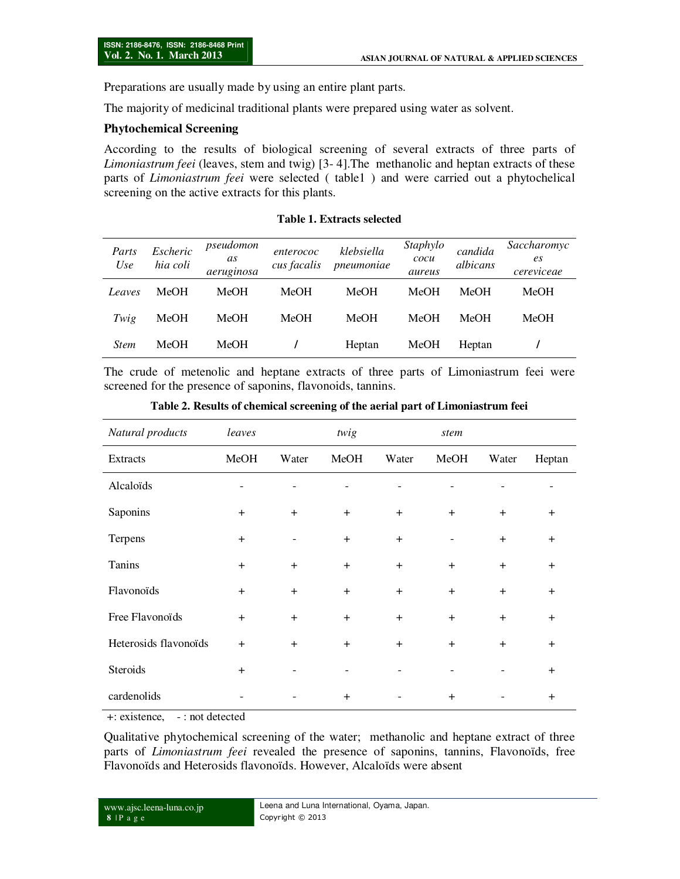Preparations are usually made by using an entire plant parts.

The majority of medicinal traditional plants were prepared using water as solvent.

#### **Phytochemical Screening**

According to the results of biological screening of several extracts of three parts of *Limoniastrum feei* (leaves, stem and twig) [3- 4].The methanolic and heptan extracts of these parts of *Limoniastrum feei* were selected ( table1 ) and were carried out a phytochelical screening on the active extracts for this plants.

| Parts<br>Use | Escheric<br>hia coli | pseudomon<br>as<br>aeruginosa | enterococ<br>cus facalis | klebsiella<br>pneumoniae | Staphylo<br>cocu<br>aureus | candida<br>albicans | Saccharomyc<br>es<br>$\cdot$<br>cereviceae |
|--------------|----------------------|-------------------------------|--------------------------|--------------------------|----------------------------|---------------------|--------------------------------------------|
| Leaves       | MeOH                 | <b>MeOH</b>                   | MeOH                     | <b>MeOH</b>              | MeOH                       | <b>MeOH</b>         | MeOH                                       |
| Twig         | MeOH                 | MeOH                          | MeOH                     | <b>MeOH</b>              | MeOH                       | <b>MeOH</b>         | MeOH                                       |
| <b>Stem</b>  | MeOH                 | MeOH                          |                          | Heptan                   | MeOH                       | Heptan              |                                            |

#### **Table 1. Extracts selected**

The crude of metenolic and heptane extracts of three parts of Limoniastrum feei were screened for the presence of saponins, flavonoids, tannins.

| Natural products      | leaves |       | twig      |       | stem |       |           |
|-----------------------|--------|-------|-----------|-------|------|-------|-----------|
| <b>Extracts</b>       | MeOH   | Water | MeOH      | Water | MeOH | Water | Heptan    |
| Alcaloïds             |        |       |           |       |      |       |           |
| Saponins              | $+$    | $+$   | $+$       | $+$   | $+$  | $+$   | $+$       |
| Terpens               | $+$    |       | $+$       | $+$   |      | $+$   | $+$       |
| Tanins                | $+$    | $+$   | $+$       | $+$   | $+$  | $+$   | $+$       |
| Flavonoïds            | $+$    | $+$   | $+$       | $+$   | $+$  | $+$   | $+$       |
| Free Flavonoïds       | $+$    | $+$   | $+$       | $+$   | $+$  | $+$   | $+$       |
| Heterosids flavonoïds | $+$    | $+$   | $+$       | $+$   | $+$  | $+$   | $+$       |
| Steroids              | $+$    |       |           |       |      |       | $\ddot{}$ |
| cardenolids           |        |       | $\ddot{}$ |       | $+$  |       | $+$       |

**Table 2. Results of chemical screening of the aerial part of Limoniastrum feei** 

+: existence, - : not detected

Qualitative phytochemical screening of the water; methanolic and heptane extract of three parts of *Limoniastrum feei* revealed the presence of saponins, tannins, Flavonoïds, free Flavonoïds and Heterosids flavonoïds. However, Alcaloïds were absent